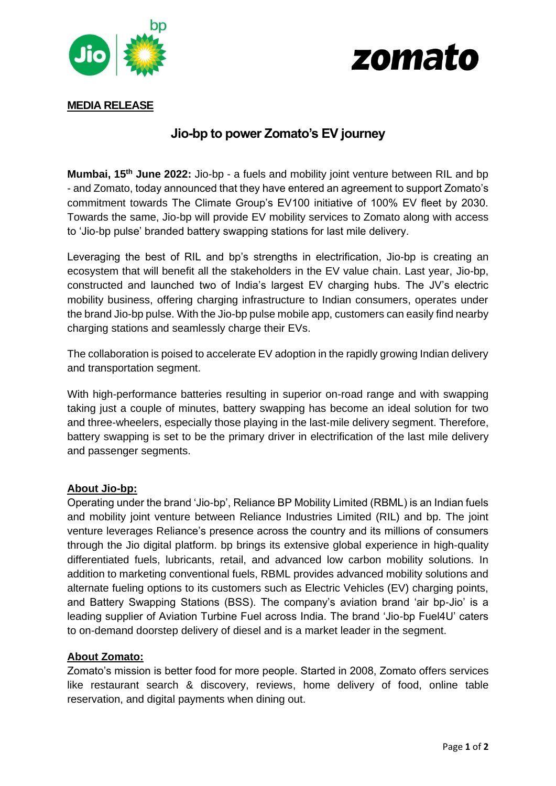



## **MEDIA RELEASE**

# **Jio-bp to power Zomato's EV journey**

**Mumbai, 15th June 2022:** Jio-bp - a fuels and mobility joint venture between RIL and bp - and Zomato, today announced that they have entered an agreement to support Zomato's commitment towards The Climate Group's EV100 initiative of 100% EV fleet by 2030. Towards the same, Jio-bp will provide EV mobility services to Zomato along with access to 'Jio-bp pulse' branded battery swapping stations for last mile delivery.

Leveraging the best of RIL and bp's strengths in electrification, Jio-bp is creating an ecosystem that will benefit all the stakeholders in the EV value chain. Last year, Jio-bp, constructed and launched two of India's largest EV charging hubs. The JV's electric mobility business, offering charging infrastructure to Indian consumers, operates under the brand Jio-bp pulse. With the Jio-bp pulse mobile app, customers can easily find nearby charging stations and seamlessly charge their EVs.

The collaboration is poised to accelerate EV adoption in the rapidly growing Indian delivery and transportation segment.

With high-performance batteries resulting in superior on-road range and with swapping taking just a couple of minutes, battery swapping has become an ideal solution for two and three-wheelers, especially those playing in the last-mile delivery segment. Therefore, battery swapping is set to be the primary driver in electrification of the last mile delivery and passenger segments.

## **About Jio-bp:**

Operating under the brand 'Jio-bp', Reliance BP Mobility Limited (RBML) is an Indian fuels and mobility joint venture between Reliance Industries Limited (RIL) and bp. The joint venture leverages Reliance's presence across the country and its millions of consumers through the Jio digital platform. bp brings its extensive global experience in high-quality differentiated fuels, lubricants, retail, and advanced low carbon mobility solutions. In addition to marketing conventional fuels, RBML provides advanced mobility solutions and alternate fueling options to its customers such as Electric Vehicles (EV) charging points, and Battery Swapping Stations (BSS). The company's aviation brand 'air bp-Jio' is a leading supplier of Aviation Turbine Fuel across India. The brand 'Jio-bp Fuel4U' caters to on-demand doorstep delivery of diesel and is a market leader in the segment.

#### **About Zomato:**

Zomato's mission is better food for more people. Started in 2008, Zomato offers services like restaurant search & discovery, reviews, home delivery of food, online table reservation, and digital payments when dining out.